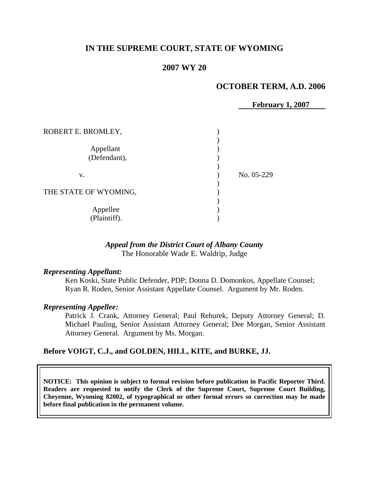# **IN THE SUPREME COURT, STATE OF WYOMING**

### **2007 WY 20**

### **OCTOBER TERM, A.D. 2006**

**February 1, 2007**

| ROBERT E. BROMLEY,        |            |
|---------------------------|------------|
| Appellant<br>(Defendant), |            |
| v.                        | No. 05-229 |
| THE STATE OF WYOMING,     |            |
| Appellee<br>(Plaintiff).  |            |

### *Appeal from the District Court of Albany County* The Honorable Wade E. Waldrip, Judge

#### *Representing Appellant:*

Ken Koski, State Public Defender, PDP; Donna D. Domonkos, Appellate Counsel; Ryan R. Roden, Senior Assistant Appellate Counsel. Argument by Mr. Roden.

#### *Representing Appellee:*

Patrick J. Crank, Attorney General; Paul Rehurek, Deputy Attorney General; D. Michael Pauling, Senior Assistant Attorney General; Dee Morgan, Senior Assistant Attorney General. Argument by Ms. Morgan.

### **Before VOIGT, C.J., and GOLDEN, HILL, KITE, and BURKE, JJ.**

**NOTICE: This opinion is subject to formal revision before publication in Pacific Reporter Third. Readers are requested to notify the Clerk of the Supreme Court, Supreme Court Building, Cheyenne, Wyoming 82002, of typographical or other formal errors so correction may be made before final publication in the permanent volume.**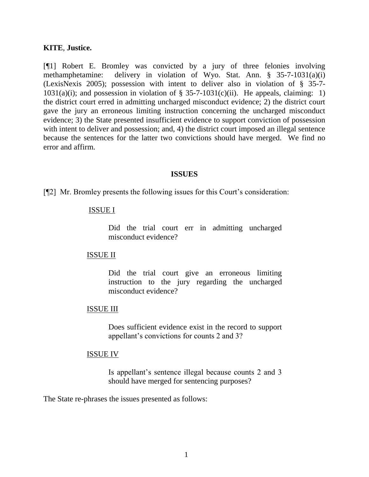### **KITE**, **Justice.**

[¶1] Robert E. Bromley was convicted by a jury of three felonies involving methamphetamine: delivery in violation of Wyo. Stat. Ann. § 35-7-1031(a)(i) (LexisNexis 2005); possession with intent to deliver also in violation of § 35-7-  $1031(a)(i)$ ; and possession in violation of § 35-7-1031(c)(ii). He appeals, claiming: 1) the district court erred in admitting uncharged misconduct evidence; 2) the district court gave the jury an erroneous limiting instruction concerning the uncharged misconduct evidence; 3) the State presented insufficient evidence to support conviction of possession with intent to deliver and possession; and, 4) the district court imposed an illegal sentence because the sentences for the latter two convictions should have merged. We find no error and affirm.

#### **ISSUES**

[¶2] Mr. Bromley presents the following issues for this Court's consideration:

### ISSUE I

Did the trial court err in admitting uncharged misconduct evidence?

### ISSUE II

Did the trial court give an erroneous limiting instruction to the jury regarding the uncharged misconduct evidence?

### ISSUE III

Does sufficient evidence exist in the record to support appellant's convictions for counts 2 and 3?

### ISSUE IV

Is appellant's sentence illegal because counts 2 and 3 should have merged for sentencing purposes?

The State re-phrases the issues presented as follows: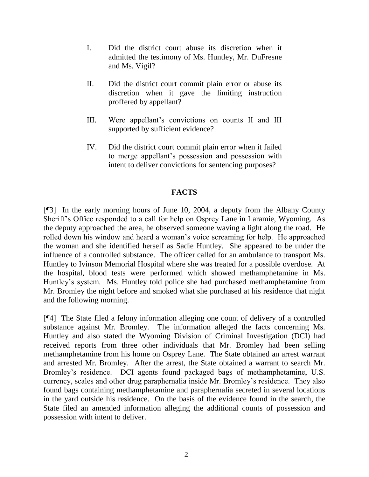- I. Did the district court abuse its discretion when it admitted the testimony of Ms. Huntley, Mr. DuFresne and Ms. Vigil?
- II. Did the district court commit plain error or abuse its discretion when it gave the limiting instruction proffered by appellant?
- III. Were appellant's convictions on counts II and III supported by sufficient evidence?
- IV. Did the district court commit plain error when it failed to merge appellant's possession and possession with intent to deliver convictions for sentencing purposes?

# **FACTS**

[¶3] In the early morning hours of June 10, 2004, a deputy from the Albany County Sheriff's Office responded to a call for help on Osprey Lane in Laramie, Wyoming. As the deputy approached the area, he observed someone waving a light along the road. He rolled down his window and heard a woman's voice screaming for help. He approached the woman and she identified herself as Sadie Huntley. She appeared to be under the influence of a controlled substance. The officer called for an ambulance to transport Ms. Huntley to Ivinson Memorial Hospital where she was treated for a possible overdose. At the hospital, blood tests were performed which showed methamphetamine in Ms. Huntley's system. Ms. Huntley told police she had purchased methamphetamine from Mr. Bromley the night before and smoked what she purchased at his residence that night and the following morning.

[¶4] The State filed a felony information alleging one count of delivery of a controlled substance against Mr. Bromley. The information alleged the facts concerning Ms. Huntley and also stated the Wyoming Division of Criminal Investigation (DCI) had received reports from three other individuals that Mr. Bromley had been selling methamphetamine from his home on Osprey Lane. The State obtained an arrest warrant and arrested Mr. Bromley. After the arrest, the State obtained a warrant to search Mr. Bromley's residence. DCI agents found packaged bags of methamphetamine, U.S. currency, scales and other drug paraphernalia inside Mr. Bromley's residence. They also found bags containing methamphetamine and paraphernalia secreted in several locations in the yard outside his residence. On the basis of the evidence found in the search, the State filed an amended information alleging the additional counts of possession and possession with intent to deliver.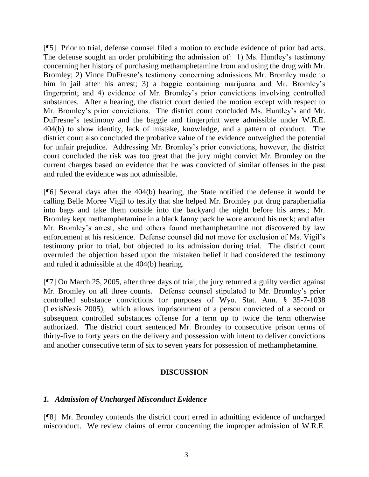[¶5] Prior to trial, defense counsel filed a motion to exclude evidence of prior bad acts. The defense sought an order prohibiting the admission of: 1) Ms. Huntley's testimony concerning her history of purchasing methamphetamine from and using the drug with Mr. Bromley; 2) Vince DuFresne's testimony concerning admissions Mr. Bromley made to him in jail after his arrest; 3) a baggie containing marijuana and Mr. Bromley's fingerprint; and 4) evidence of Mr. Bromley's prior convictions involving controlled substances. After a hearing, the district court denied the motion except with respect to Mr. Bromley's prior convictions. The district court concluded Ms. Huntley's and Mr. DuFresne's testimony and the baggie and fingerprint were admissible under W.R.E. 404(b) to show identity, lack of mistake, knowledge, and a pattern of conduct. The district court also concluded the probative value of the evidence outweighed the potential for unfair prejudice. Addressing Mr. Bromley's prior convictions, however, the district court concluded the risk was too great that the jury might convict Mr. Bromley on the current charges based on evidence that he was convicted of similar offenses in the past and ruled the evidence was not admissible.

[¶6] Several days after the 404(b) hearing, the State notified the defense it would be calling Belle Moree Vigil to testify that she helped Mr. Bromley put drug paraphernalia into bags and take them outside into the backyard the night before his arrest; Mr. Bromley kept methamphetamine in a black fanny pack he wore around his neck; and after Mr. Bromley's arrest, she and others found methamphetamine not discovered by law enforcement at his residence. Defense counsel did not move for exclusion of Ms. Vigil's testimony prior to trial, but objected to its admission during trial. The district court overruled the objection based upon the mistaken belief it had considered the testimony and ruled it admissible at the 404(b) hearing.

[¶7] On March 25, 2005, after three days of trial, the jury returned a guilty verdict against Mr. Bromley on all three counts. Defense counsel stipulated to Mr. Bromley's prior controlled substance convictions for purposes of Wyo. Stat. Ann. § 35-7-1038 (LexisNexis 2005), which allows imprisonment of a person convicted of a second or subsequent controlled substances offense for a term up to twice the term otherwise authorized. The district court sentenced Mr. Bromley to consecutive prison terms of thirty-five to forty years on the delivery and possession with intent to deliver convictions and another consecutive term of six to seven years for possession of methamphetamine.

# **DISCUSSION**

### *1. Admission of Uncharged Misconduct Evidence*

[¶8] Mr. Bromley contends the district court erred in admitting evidence of uncharged misconduct. We review claims of error concerning the improper admission of W.R.E.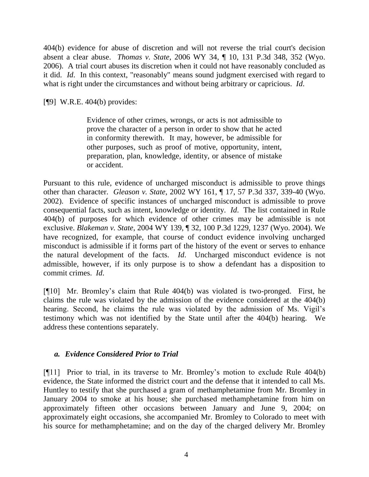404(b) evidence for abuse of discretion and will not reverse the trial court's decision absent a clear abuse. *Thomas v. State*, 2006 WY 34, ¶ 10, 131 P.3d 348, 352 (Wyo. 2006). A trial court abuses its discretion when it could not have reasonably concluded as it did. *Id*. In this context, "reasonably" means sound judgment exercised with regard to what is right under the circumstances and without being arbitrary or capricious. *Id*.

[¶9] W.R.E. 404(b) provides:

Evidence of other crimes, wrongs, or acts is not admissible to prove the character of a person in order to show that he acted in conformity therewith. It may, however, be admissible for other purposes, such as proof of motive, opportunity, intent, preparation, plan, knowledge, identity, or absence of mistake or accident.

Pursuant to this rule, evidence of uncharged misconduct is admissible to prove things other than character. *Gleason v. State*, 2002 WY 161, ¶ 17, 57 P.3d 337, 339-40 (Wyo. 2002). Evidence of specific instances of uncharged misconduct is admissible to prove consequential facts, such as intent, knowledge or identity. *Id*. The list contained in Rule 404(b) of purposes for which evidence of other crimes may be admissible is not exclusive. *Blakeman v. State*, 2004 WY 139, ¶ 32, 100 P.3d 1229, 1237 (Wyo. 2004). We have recognized, for example, that course of conduct evidence involving uncharged misconduct is admissible if it forms part of the history of the event or serves to enhance the natural development of the facts. *Id*. Uncharged misconduct evidence is not admissible, however, if its only purpose is to show a defendant has a disposition to commit crimes. *Id*.

[¶10] Mr. Bromley's claim that Rule 404(b) was violated is two-pronged. First, he claims the rule was violated by the admission of the evidence considered at the 404(b) hearing. Second, he claims the rule was violated by the admission of Ms. Vigil's testimony which was not identified by the State until after the 404(b) hearing. We address these contentions separately.

# *a. Evidence Considered Prior to Trial*

[¶11] Prior to trial, in its traverse to Mr. Bromley's motion to exclude Rule 404(b) evidence, the State informed the district court and the defense that it intended to call Ms. Huntley to testify that she purchased a gram of methamphetamine from Mr. Bromley in January 2004 to smoke at his house; she purchased methamphetamine from him on approximately fifteen other occasions between January and June 9, 2004; on approximately eight occasions, she accompanied Mr. Bromley to Colorado to meet with his source for methamphetamine; and on the day of the charged delivery Mr. Bromley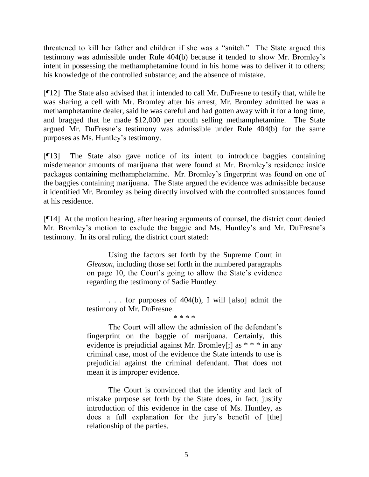threatened to kill her father and children if she was a "snitch." The State argued this testimony was admissible under Rule 404(b) because it tended to show Mr. Bromley's intent in possessing the methamphetamine found in his home was to deliver it to others; his knowledge of the controlled substance; and the absence of mistake.

[¶12] The State also advised that it intended to call Mr. DuFresne to testify that, while he was sharing a cell with Mr. Bromley after his arrest, Mr. Bromley admitted he was a methamphetamine dealer, said he was careful and had gotten away with it for a long time, and bragged that he made \$12,000 per month selling methamphetamine. The State argued Mr. DuFresne's testimony was admissible under Rule 404(b) for the same purposes as Ms. Huntley's testimony.

[¶13] The State also gave notice of its intent to introduce baggies containing misdemeanor amounts of marijuana that were found at Mr. Bromley's residence inside packages containing methamphetamine. Mr. Bromley's fingerprint was found on one of the baggies containing marijuana. The State argued the evidence was admissible because it identified Mr. Bromley as being directly involved with the controlled substances found at his residence.

[¶14] At the motion hearing, after hearing arguments of counsel, the district court denied Mr. Bromley's motion to exclude the baggie and Ms. Huntley's and Mr. DuFresne's testimony. In its oral ruling, the district court stated:

> Using the factors set forth by the Supreme Court in *Gleason*, including those set forth in the numbered paragraphs on page 10, the Court's going to allow the State's evidence regarding the testimony of Sadie Huntley.

> . . . for purposes of 404(b), I will [also] admit the testimony of Mr. DuFresne.

\* \* \* \*

The Court will allow the admission of the defendant's fingerprint on the baggie of marijuana. Certainly, this evidence is prejudicial against Mr. Bromley[;] as \* \* \* in any criminal case, most of the evidence the State intends to use is prejudicial against the criminal defendant. That does not mean it is improper evidence.

The Court is convinced that the identity and lack of mistake purpose set forth by the State does, in fact, justify introduction of this evidence in the case of Ms. Huntley, as does a full explanation for the jury's benefit of [the] relationship of the parties.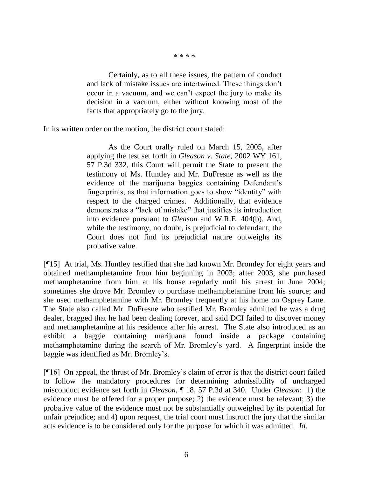\* \* \* \*

Certainly, as to all these issues, the pattern of conduct and lack of mistake issues are intertwined. These things don't occur in a vacuum, and we can't expect the jury to make its decision in a vacuum, either without knowing most of the facts that appropriately go to the jury.

In its written order on the motion, the district court stated:

As the Court orally ruled on March 15, 2005, after applying the test set forth in *Gleason v. State*, 2002 WY 161, 57 P.3d 332, this Court will permit the State to present the testimony of Ms. Huntley and Mr. DuFresne as well as the evidence of the marijuana baggies containing Defendant's fingerprints, as that information goes to show "identity" with respect to the charged crimes. Additionally, that evidence demonstrates a "lack of mistake" that justifies its introduction into evidence pursuant to *Gleason* and W.R.E. 404(b). And, while the testimony, no doubt, is prejudicial to defendant, the Court does not find its prejudicial nature outweighs its probative value.

[¶15] At trial, Ms. Huntley testified that she had known Mr. Bromley for eight years and obtained methamphetamine from him beginning in 2003; after 2003, she purchased methamphetamine from him at his house regularly until his arrest in June 2004; sometimes she drove Mr. Bromley to purchase methamphetamine from his source; and she used methamphetamine with Mr. Bromley frequently at his home on Osprey Lane. The State also called Mr. DuFresne who testified Mr. Bromley admitted he was a drug dealer, bragged that he had been dealing forever, and said DCI failed to discover money and methamphetamine at his residence after his arrest. The State also introduced as an exhibit a baggie containing marijuana found inside a package containing methamphetamine during the search of Mr. Bromley's yard. A fingerprint inside the baggie was identified as Mr. Bromley's.

[¶16] On appeal, the thrust of Mr. Bromley's claim of error is that the district court failed to follow the mandatory procedures for determining admissibility of uncharged misconduct evidence set forth in *Gleason*, ¶ 18, 57 P.3d at 340. Under *Gleason*: 1) the evidence must be offered for a proper purpose; 2) the evidence must be relevant; 3) the probative value of the evidence must not be substantially outweighed by its potential for unfair prejudice; and 4) upon request, the trial court must instruct the jury that the similar acts evidence is to be considered only for the purpose for which it was admitted. *Id*.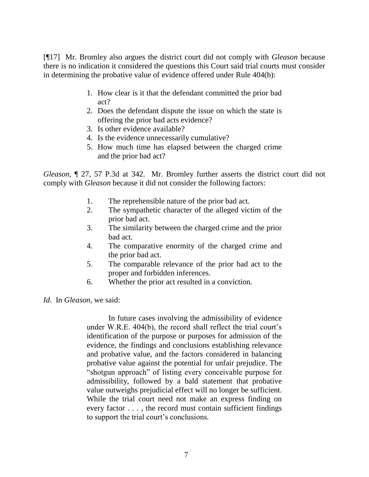[¶17] Mr. Bromley also argues the district court did not comply with *Gleason* because there is no indication it considered the questions this Court said trial courts must consider in determining the probative value of evidence offered under Rule 404(b):

- 1. How clear is it that the defendant committed the prior bad act?
- 2. Does the defendant dispute the issue on which the state is offering the prior bad acts evidence?
- 3. Is other evidence available?
- 4. Is the evidence unnecessarily cumulative?
- 5. How much time has elapsed between the charged crime and the prior bad act?

*Gleason*, ¶ 27, 57 P.3d at 342. Mr. Bromley further asserts the district court did not comply with *Gleason* because it did not consider the following factors:

- 1. The reprehensible nature of the prior bad act.
- 2. The sympathetic character of the alleged victim of the prior bad act.
- 3. The similarity between the charged crime and the prior bad act.
- 4. The comparative enormity of the charged crime and the prior bad act.
- 5. The comparable relevance of the prior bad act to the proper and forbidden inferences.
- 6. Whether the prior act resulted in a conviction.

*Id*. In *Gleason*, we said:

In future cases involving the admissibility of evidence under W.R.E. 404(b), the record shall reflect the trial court's identification of the purpose or purposes for admission of the evidence, the findings and conclusions establishing relevance and probative value, and the factors considered in balancing probative value against the potential for unfair prejudice. The "shotgun approach" of listing every conceivable purpose for admissibility, followed by a bald statement that probative value outweighs prejudicial effect will no longer be sufficient. While the trial court need not make an express finding on every factor . . . , the record must contain sufficient findings to support the trial court's conclusions*.*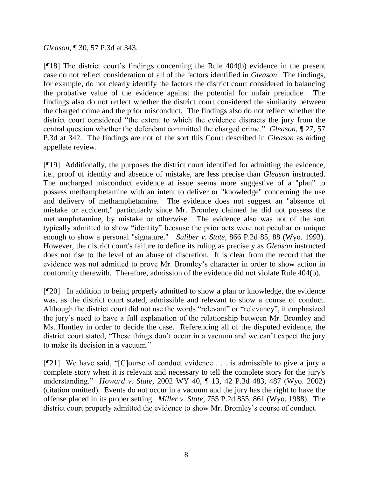## *Gleason*, ¶ 30, 57 P.3d at 343.

[¶18] The district court's findings concerning the Rule 404(b) evidence in the present case do not reflect consideration of all of the factors identified in *Gleason*. The findings, for example, do not clearly identify the factors the district court considered in balancing the probative value of the evidence against the potential for unfair prejudice. The findings also do not reflect whether the district court considered the similarity between the charged crime and the prior misconduct. The findings also do not reflect whether the district court considered "the extent to which the evidence distracts the jury from the central question whether the defendant committed the charged crime." *Gleason*, ¶ 27, 57 P.3d at 342. The findings are not of the sort this Court described in *Gleason* as aiding appellate review.

[¶19] Additionally, the purposes the district court identified for admitting the evidence, i.e., proof of identity and absence of mistake, are less precise than *Gleason* instructed. The uncharged misconduct evidence at issue seems more suggestive of a "plan" to possess methamphetamine with an intent to deliver or "knowledge" concerning the use and delivery of methamphetamine. The evidence does not suggest an "absence of mistake or accident," particularly since Mr. Bromley claimed he did not possess the methamphetamine, by mistake or otherwise. The evidence also was not of the sort typically admitted to show "identity" because the prior acts were not peculiar or unique enough to show a personal "signature." *Suliber v. State*, 866 P.2d 85, 88 (Wyo. 1993). However, the district court's failure to define its ruling as precisely as *Gleason* instructed does not rise to the level of an abuse of discretion. It is clear from the record that the evidence was not admitted to prove Mr. Bromley's character in order to show action in conformity therewith. Therefore, admission of the evidence did not violate Rule 404(b).

[¶20] In addition to being properly admitted to show a plan or knowledge, the evidence was, as the district court stated, admissible and relevant to show a course of conduct. Although the district court did not use the words "relevant" or "relevancy", it emphasized the jury's need to have a full explanation of the relationship between Mr. Bromley and Ms. Huntley in order to decide the case. Referencing all of the disputed evidence, the district court stated, "These things don't occur in a vacuum and we can't expect the jury to make its decision in a vacuum."

[¶21] We have said, "[C]ourse of conduct evidence . . . is admissible to give a jury a complete story when it is relevant and necessary to tell the complete story for the jury's understanding." *Howard v. State*, 2002 WY 40, ¶ 13, 42 P.3d 483, 487 (Wyo. 2002) (citation omitted). Events do not occur in a vacuum and the jury has the right to have the offense placed in its proper setting. *Miller v. State*, 755 P.2d 855, 861 (Wyo. 1988). The district court properly admitted the evidence to show Mr. Bromley's course of conduct.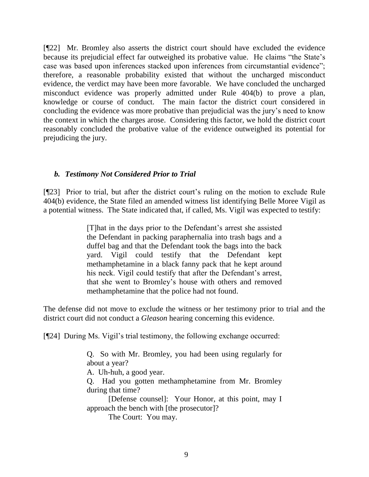[¶22] Mr. Bromley also asserts the district court should have excluded the evidence because its prejudicial effect far outweighed its probative value. He claims "the State's case was based upon inferences stacked upon inferences from circumstantial evidence"; therefore, a reasonable probability existed that without the uncharged misconduct evidence, the verdict may have been more favorable. We have concluded the uncharged misconduct evidence was properly admitted under Rule 404(b) to prove a plan, knowledge or course of conduct. The main factor the district court considered in concluding the evidence was more probative than prejudicial was the jury's need to know the context in which the charges arose. Considering this factor, we hold the district court reasonably concluded the probative value of the evidence outweighed its potential for prejudicing the jury.

## *b. Testimony Not Considered Prior to Trial*

[¶23] Prior to trial, but after the district court's ruling on the motion to exclude Rule 404(b) evidence, the State filed an amended witness list identifying Belle Moree Vigil as a potential witness. The State indicated that, if called, Ms. Vigil was expected to testify:

> [T]hat in the days prior to the Defendant's arrest she assisted the Defendant in packing paraphernalia into trash bags and a duffel bag and that the Defendant took the bags into the back yard. Vigil could testify that the Defendant kept methamphetamine in a black fanny pack that he kept around his neck. Vigil could testify that after the Defendant's arrest, that she went to Bromley's house with others and removed methamphetamine that the police had not found.

The defense did not move to exclude the witness or her testimony prior to trial and the district court did not conduct a *Gleason* hearing concerning this evidence.

[¶24] During Ms. Vigil's trial testimony, the following exchange occurred:

Q. So with Mr. Bromley, you had been using regularly for about a year?

A. Uh-huh, a good year.

Q. Had you gotten methamphetamine from Mr. Bromley during that time?

[Defense counsel]: Your Honor, at this point, may I approach the bench with [the prosecutor]?

The Court: You may.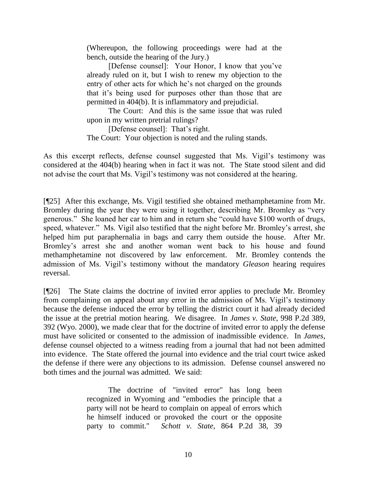(Whereupon, the following proceedings were had at the bench, outside the hearing of the Jury.)

[Defense counsel]: Your Honor, I know that you've already ruled on it, but I wish to renew my objection to the entry of other acts for which he's not charged on the grounds that it's being used for purposes other than those that are permitted in 404(b). It is inflammatory and prejudicial.

The Court: And this is the same issue that was ruled upon in my written pretrial rulings?

[Defense counsel]: That's right. The Court: Your objection is noted and the ruling stands.

As this excerpt reflects, defense counsel suggested that Ms. Vigil's testimony was considered at the 404(b) hearing when in fact it was not. The State stood silent and did not advise the court that Ms. Vigil's testimony was not considered at the hearing.

[¶25] After this exchange, Ms. Vigil testified she obtained methamphetamine from Mr. Bromley during the year they were using it together, describing Mr. Bromley as "very generous." She loaned her car to him and in return she "could have \$100 worth of drugs, speed, whatever." Ms. Vigil also testified that the night before Mr. Bromley's arrest, she helped him put paraphernalia in bags and carry them outside the house. After Mr. Bromley's arrest she and another woman went back to his house and found methamphetamine not discovered by law enforcement. Mr. Bromley contends the admission of Ms. Vigil's testimony without the mandatory *Gleason* hearing requires reversal.

[¶26] The State claims the doctrine of invited error applies to preclude Mr. Bromley from complaining on appeal about any error in the admission of Ms. Vigil's testimony because the defense induced the error by telling the district court it had already decided the issue at the pretrial motion hearing. We disagree. In *James v. State*, 998 P.2d 389, 392 (Wyo. 2000), we made clear that for the doctrine of invited error to apply the defense must have solicited or consented to the admission of inadmissible evidence. In *James*, defense counsel objected to a witness reading from a journal that had not been admitted into evidence. The State offered the journal into evidence and the trial court twice asked the defense if there were any objections to its admission. Defense counsel answered no both times and the journal was admitted. We said:

> The doctrine of "invited error" has long been recognized in Wyoming and "embodies the principle that a party will not be heard to complain on appeal of errors which he himself induced or provoked the court or the opposite party to commit." *Schott v. State*, 864 P.2d 38, 39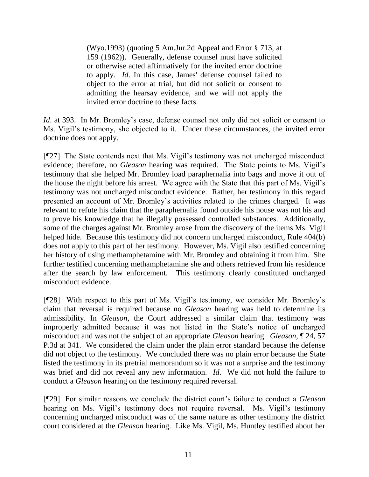(Wyo.1993) (quoting 5 Am.Jur.2d Appeal and Error § 713, at 159 (1962)). Generally, defense counsel must have solicited or otherwise acted affirmatively for the invited error doctrine to apply. *Id*. In this case, James' defense counsel failed to object to the error at trial, but did not solicit or consent to admitting the hearsay evidence, and we will not apply the invited error doctrine to these facts.

*Id.* at 393. In Mr. Bromley's case, defense counsel not only did not solicit or consent to Ms. Vigil's testimony, she objected to it. Under these circumstances, the invited error doctrine does not apply.

[¶27] The State contends next that Ms. Vigil's testimony was not uncharged misconduct evidence; therefore, no *Gleason* hearing was required. The State points to Ms. Vigil's testimony that she helped Mr. Bromley load paraphernalia into bags and move it out of the house the night before his arrest. We agree with the State that this part of Ms. Vigil's testimony was not uncharged misconduct evidence. Rather, her testimony in this regard presented an account of Mr. Bromley's activities related to the crimes charged. It was relevant to refute his claim that the paraphernalia found outside his house was not his and to prove his knowledge that he illegally possessed controlled substances. Additionally, some of the charges against Mr. Bromley arose from the discovery of the items Ms. Vigil helped hide. Because this testimony did not concern uncharged misconduct, Rule 404(b) does not apply to this part of her testimony. However, Ms. Vigil also testified concerning her history of using methamphetamine with Mr. Bromley and obtaining it from him. She further testified concerning methamphetamine she and others retrieved from his residence after the search by law enforcement. This testimony clearly constituted uncharged misconduct evidence.

[¶28] With respect to this part of Ms. Vigil's testimony, we consider Mr. Bromley's claim that reversal is required because no *Gleason* hearing was held to determine its admissibility. In *Gleason*, the Court addressed a similar claim that testimony was improperly admitted because it was not listed in the State's notice of uncharged misconduct and was not the subject of an appropriate *Gleason* hearing. *Gleason*, ¶ 24, 57 P.3d at 341. We considered the claim under the plain error standard because the defense did not object to the testimony. We concluded there was no plain error because the State listed the testimony in its pretrial memorandum so it was not a surprise and the testimony was brief and did not reveal any new information. *Id*. We did not hold the failure to conduct a *Gleason* hearing on the testimony required reversal.

[¶29] For similar reasons we conclude the district court's failure to conduct a *Gleason* hearing on Ms. Vigil's testimony does not require reversal. Ms. Vigil's testimony concerning uncharged misconduct was of the same nature as other testimony the district court considered at the *Gleason* hearing. Like Ms. Vigil, Ms. Huntley testified about her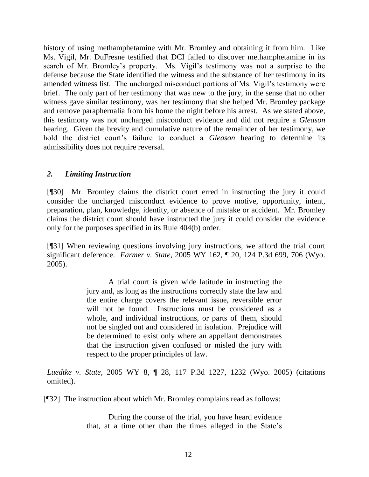history of using methamphetamine with Mr. Bromley and obtaining it from him. Like Ms. Vigil, Mr. DuFresne testified that DCI failed to discover methamphetamine in its search of Mr. Bromley's property. Ms. Vigil's testimony was not a surprise to the defense because the State identified the witness and the substance of her testimony in its amended witness list. The uncharged misconduct portions of Ms. Vigil's testimony were brief. The only part of her testimony that was new to the jury, in the sense that no other witness gave similar testimony, was her testimony that she helped Mr. Bromley package and remove paraphernalia from his home the night before his arrest. As we stated above, this testimony was not uncharged misconduct evidence and did not require a *Gleason* hearing. Given the brevity and cumulative nature of the remainder of her testimony, we hold the district court's failure to conduct a *Gleason* hearing to determine its admissibility does not require reversal.

## *2. Limiting Instruction*

[¶30] Mr. Bromley claims the district court erred in instructing the jury it could consider the uncharged misconduct evidence to prove motive, opportunity, intent, preparation, plan, knowledge, identity, or absence of mistake or accident. Mr. Bromley claims the district court should have instructed the jury it could consider the evidence only for the purposes specified in its Rule 404(b) order.

[¶31] When reviewing questions involving jury instructions, we afford the trial court significant deference. *Farmer v. State*, 2005 WY 162, ¶ 20, 124 P.3d 699, 706 (Wyo. 2005).

> A trial court is given wide latitude in instructing the jury and, as long as the instructions correctly state the law and the entire charge covers the relevant issue, reversible error will not be found. Instructions must be considered as a whole, and individual instructions, or parts of them, should not be singled out and considered in isolation. Prejudice will be determined to exist only where an appellant demonstrates that the instruction given confused or misled the jury with respect to the proper principles of law.

*Luedtke v. State*, 2005 WY 8, ¶ 28, 117 P.3d 1227, 1232 (Wyo. 2005) (citations omitted).

[¶32] The instruction about which Mr. Bromley complains read as follows:

During the course of the trial, you have heard evidence that, at a time other than the times alleged in the State's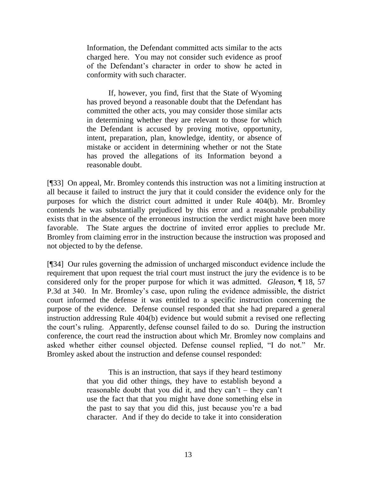Information, the Defendant committed acts similar to the acts charged here. You may not consider such evidence as proof of the Defendant's character in order to show he acted in conformity with such character.

If, however, you find, first that the State of Wyoming has proved beyond a reasonable doubt that the Defendant has committed the other acts, you may consider those similar acts in determining whether they are relevant to those for which the Defendant is accused by proving motive, opportunity, intent, preparation, plan, knowledge, identity, or absence of mistake or accident in determining whether or not the State has proved the allegations of its Information beyond a reasonable doubt.

[¶33] On appeal, Mr. Bromley contends this instruction was not a limiting instruction at all because it failed to instruct the jury that it could consider the evidence only for the purposes for which the district court admitted it under Rule 404(b). Mr. Bromley contends he was substantially prejudiced by this error and a reasonable probability exists that in the absence of the erroneous instruction the verdict might have been more favorable. The State argues the doctrine of invited error applies to preclude Mr. Bromley from claiming error in the instruction because the instruction was proposed and not objected to by the defense.

[¶34] Our rules governing the admission of uncharged misconduct evidence include the requirement that upon request the trial court must instruct the jury the evidence is to be considered only for the proper purpose for which it was admitted. *Gleason*, ¶ 18, 57 P.3d at 340. In Mr. Bromley's case, upon ruling the evidence admissible, the district court informed the defense it was entitled to a specific instruction concerning the purpose of the evidence. Defense counsel responded that she had prepared a general instruction addressing Rule 404(b) evidence but would submit a revised one reflecting the court's ruling. Apparently, defense counsel failed to do so. During the instruction conference, the court read the instruction about which Mr. Bromley now complains and asked whether either counsel objected. Defense counsel replied, "I do not." Mr. Bromley asked about the instruction and defense counsel responded:

> This is an instruction, that says if they heard testimony that you did other things, they have to establish beyond a reasonable doubt that you did it, and they can't – they can't use the fact that that you might have done something else in the past to say that you did this, just because you're a bad character. And if they do decide to take it into consideration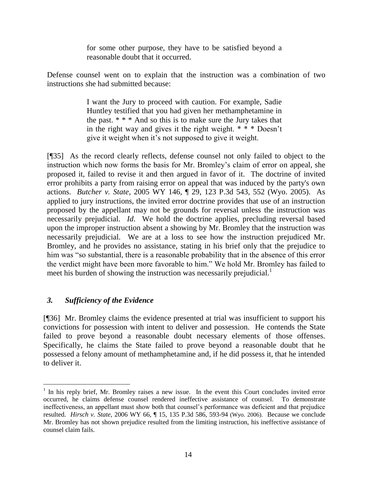for some other purpose, they have to be satisfied beyond a reasonable doubt that it occurred.

Defense counsel went on to explain that the instruction was a combination of two instructions she had submitted because:

> I want the Jury to proceed with caution. For example, Sadie Huntley testified that you had given her methamphetamine in the past.  $* * * And so this is to make sure the Jury takes that$ in the right way and gives it the right weight. \* \* \* Doesn't give it weight when it's not supposed to give it weight.

[¶35] As the record clearly reflects, defense counsel not only failed to object to the instruction which now forms the basis for Mr. Bromley's claim of error on appeal, she proposed it, failed to revise it and then argued in favor of it. The doctrine of invited error prohibits a party from raising error on appeal that was induced by the party's own actions. *Butcher v. State*, 2005 WY 146, ¶ 29, 123 P.3d 543, 552 (Wyo. 2005). As applied to jury instructions, the invited error doctrine provides that use of an instruction proposed by the appellant may not be grounds for reversal unless the instruction was necessarily prejudicial. *Id*. We hold the doctrine applies, precluding reversal based upon the improper instruction absent a showing by Mr. Bromley that the instruction was necessarily prejudicial. We are at a loss to see how the instruction prejudiced Mr. Bromley, and he provides no assistance, stating in his brief only that the prejudice to him was "so substantial, there is a reasonable probability that in the absence of this error the verdict might have been more favorable to him." We hold Mr. Bromley has failed to meet his burden of showing the instruction was necessarily prejudicial.<sup>1</sup>

# *3. Sufficiency of the Evidence*

[¶36] Mr. Bromley claims the evidence presented at trial was insufficient to support his convictions for possession with intent to deliver and possession. He contends the State failed to prove beyond a reasonable doubt necessary elements of those offenses. Specifically, he claims the State failed to prove beyond a reasonable doubt that he possessed a felony amount of methamphetamine and, if he did possess it, that he intended to deliver it.

 $\overline{a}$ <sup>1</sup> In his reply brief, Mr. Bromley raises a new issue. In the event this Court concludes invited error occurred, he claims defense counsel rendered ineffective assistance of counsel. To demonstrate ineffectiveness, an appellant must show both that counsel's performance was deficient and that prejudice resulted. *Hirsch v. State*, 2006 WY 66, ¶ 15, 135 P.3d 586, 593-94 (Wyo. 2006). Because we conclude Mr. Bromley has not shown prejudice resulted from the limiting instruction, his ineffective assistance of counsel claim fails.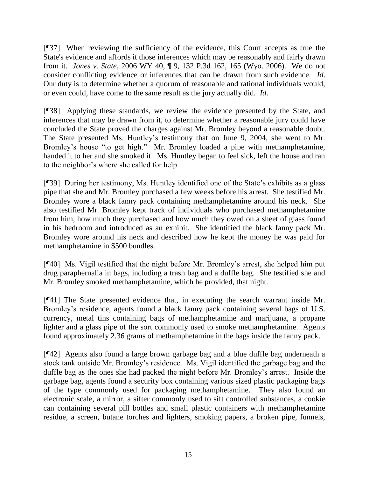[¶37] When reviewing the sufficiency of the evidence, this Court accepts as true the State's evidence and affords it those inferences which may be reasonably and fairly drawn from it. *Jones v. State*, 2006 WY 40, ¶ 9, 132 P.3d 162, 165 (Wyo. 2006). We do not consider conflicting evidence or inferences that can be drawn from such evidence. *Id*. Our duty is to determine whether a quorum of reasonable and rational individuals would, or even could, have come to the same result as the jury actually did. *Id*.

[¶38] Applying these standards, we review the evidence presented by the State, and inferences that may be drawn from it, to determine whether a reasonable jury could have concluded the State proved the charges against Mr. Bromley beyond a reasonable doubt. The State presented Ms. Huntley's testimony that on June 9, 2004, she went to Mr. Bromley's house "to get high." Mr. Bromley loaded a pipe with methamphetamine, handed it to her and she smoked it. Ms. Huntley began to feel sick, left the house and ran to the neighbor's where she called for help.

[¶39] During her testimony, Ms. Huntley identified one of the State's exhibits as a glass pipe that she and Mr. Bromley purchased a few weeks before his arrest. She testified Mr. Bromley wore a black fanny pack containing methamphetamine around his neck. She also testified Mr. Bromley kept track of individuals who purchased methamphetamine from him, how much they purchased and how much they owed on a sheet of glass found in his bedroom and introduced as an exhibit. She identified the black fanny pack Mr. Bromley wore around his neck and described how he kept the money he was paid for methamphetamine in \$500 bundles.

[¶40] Ms. Vigil testified that the night before Mr. Bromley's arrest, she helped him put drug paraphernalia in bags, including a trash bag and a duffle bag. She testified she and Mr. Bromley smoked methamphetamine, which he provided, that night.

[¶41] The State presented evidence that, in executing the search warrant inside Mr. Bromley's residence, agents found a black fanny pack containing several bags of U.S. currency, metal tins containing bags of methamphetamine and marijuana, a propane lighter and a glass pipe of the sort commonly used to smoke methamphetamine. Agents found approximately 2.36 grams of methamphetamine in the bags inside the fanny pack.

[¶42] Agents also found a large brown garbage bag and a blue duffle bag underneath a stock tank outside Mr. Bromley's residence. Ms. Vigil identified the garbage bag and the duffle bag as the ones she had packed the night before Mr. Bromley's arrest. Inside the garbage bag, agents found a security box containing various sized plastic packaging bags of the type commonly used for packaging methamphetamine. They also found an electronic scale, a mirror, a sifter commonly used to sift controlled substances, a cookie can containing several pill bottles and small plastic containers with methamphetamine residue, a screen, butane torches and lighters, smoking papers, a broken pipe, funnels,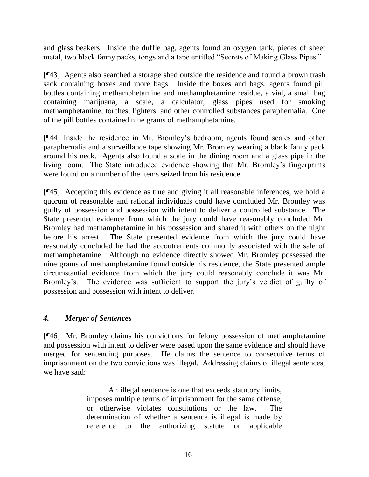and glass beakers. Inside the duffle bag, agents found an oxygen tank, pieces of sheet metal, two black fanny packs, tongs and a tape entitled "Secrets of Making Glass Pipes."

[¶43] Agents also searched a storage shed outside the residence and found a brown trash sack containing boxes and more bags. Inside the boxes and bags, agents found pill bottles containing methamphetamine and methamphetamine residue, a vial, a small bag containing marijuana, a scale, a calculator, glass pipes used for smoking methamphetamine, torches, lighters, and other controlled substances paraphernalia. One of the pill bottles contained nine grams of methamphetamine.

[¶44] Inside the residence in Mr. Bromley's bedroom, agents found scales and other paraphernalia and a surveillance tape showing Mr. Bromley wearing a black fanny pack around his neck. Agents also found a scale in the dining room and a glass pipe in the living room. The State introduced evidence showing that Mr. Bromley's fingerprints were found on a number of the items seized from his residence.

[¶45] Accepting this evidence as true and giving it all reasonable inferences, we hold a quorum of reasonable and rational individuals could have concluded Mr. Bromley was guilty of possession and possession with intent to deliver a controlled substance. The State presented evidence from which the jury could have reasonably concluded Mr. Bromley had methamphetamine in his possession and shared it with others on the night before his arrest. The State presented evidence from which the jury could have reasonably concluded he had the accoutrements commonly associated with the sale of methamphetamine. Although no evidence directly showed Mr. Bromley possessed the nine grams of methamphetamine found outside his residence, the State presented ample circumstantial evidence from which the jury could reasonably conclude it was Mr. Bromley's. The evidence was sufficient to support the jury's verdict of guilty of possession and possession with intent to deliver.

# *4. Merger of Sentences*

[¶46] Mr. Bromley claims his convictions for felony possession of methamphetamine and possession with intent to deliver were based upon the same evidence and should have merged for sentencing purposes. He claims the sentence to consecutive terms of imprisonment on the two convictions was illegal. Addressing claims of illegal sentences, we have said:

> An illegal sentence is one that exceeds statutory limits, imposes multiple terms of imprisonment for the same offense, or otherwise violates constitutions or the law. The determination of whether a sentence is illegal is made by reference to the authorizing statute or applicable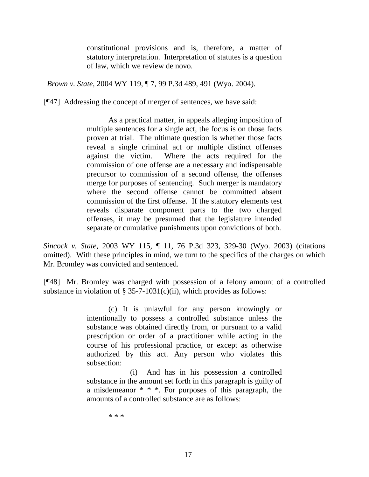constitutional provisions and is, therefore, a matter of statutory interpretation. Interpretation of statutes is a question of law, which we review de novo.

*Brown v. State*, 2004 WY 119, ¶ 7, 99 P.3d 489, 491 (Wyo. 2004).

[¶47] Addressing the concept of merger of sentences, we have said:

As a practical matter, in appeals alleging imposition of multiple sentences for a single act, the focus is on those facts proven at trial. The ultimate question is whether those facts reveal a single criminal act or multiple distinct offenses against the victim. Where the acts required for the commission of one offense are a necessary and indispensable precursor to commission of a second offense, the offenses merge for purposes of sentencing. Such merger is mandatory where the second offense cannot be committed absent commission of the first offense. If the statutory elements test reveals disparate component parts to the two charged offenses, it may be presumed that the legislature intended separate or cumulative punishments upon convictions of both.

*Sincock v. State*, 2003 WY 115, ¶ 11, 76 P.3d 323, 329-30 (Wyo. 2003) (citations omitted). With these principles in mind, we turn to the specifics of the charges on which Mr. Bromley was convicted and sentenced.

[¶48] Mr. Bromley was charged with possession of a felony amount of a controlled substance in violation of § 35-7-1031(c)(ii), which provides as follows:

> (c) It is unlawful for any person knowingly or intentionally to possess a controlled substance unless the substance was obtained directly from, or pursuant to a valid prescription or order of a practitioner while acting in the course of his professional practice, or except as otherwise authorized by this act. Any person who violates this subsection:

> (i) And has in his possession a controlled substance in the amount set forth in this paragraph is guilty of a misdemeanor \* \* \*. For purposes of this paragraph, the amounts of a controlled substance are as follows:

> > \* \* \*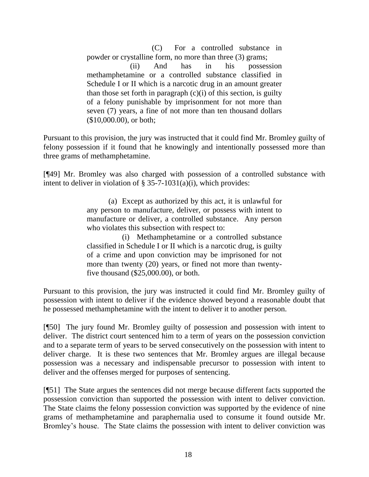(C) For a controlled substance in powder or crystalline form, no more than three (3) grams; (ii) And has in his possession methamphetamine or a controlled substance classified in Schedule I or II which is a narcotic drug in an amount greater than those set forth in paragraph  $(c)(i)$  of this section, is guilty of a felony punishable by imprisonment for not more than seven (7) years, a fine of not more than ten thousand dollars (\$10,000.00), or both;

Pursuant to this provision, the jury was instructed that it could find Mr. Bromley guilty of felony possession if it found that he knowingly and intentionally possessed more than three grams of methamphetamine.

[¶49] Mr. Bromley was also charged with possession of a controlled substance with intent to deliver in violation of § 35-7-1031(a)(i), which provides:

> (a) Except as authorized by this act, it is unlawful for any person to manufacture, deliver, or possess with intent to manufacture or deliver, a controlled substance. Any person who violates this subsection with respect to:

> (i) Methamphetamine or a controlled substance classified in Schedule I or II which is a narcotic drug, is guilty of a crime and upon conviction may be imprisoned for not more than twenty (20) years, or fined not more than twentyfive thousand (\$25,000.00), or both.

Pursuant to this provision, the jury was instructed it could find Mr. Bromley guilty of possession with intent to deliver if the evidence showed beyond a reasonable doubt that he possessed methamphetamine with the intent to deliver it to another person.

[¶50] The jury found Mr. Bromley guilty of possession and possession with intent to deliver. The district court sentenced him to a term of years on the possession conviction and to a separate term of years to be served consecutively on the possession with intent to deliver charge. It is these two sentences that Mr. Bromley argues are illegal because possession was a necessary and indispensable precursor to possession with intent to deliver and the offenses merged for purposes of sentencing.

[¶51] The State argues the sentences did not merge because different facts supported the possession conviction than supported the possession with intent to deliver conviction. The State claims the felony possession conviction was supported by the evidence of nine grams of methamphetamine and paraphernalia used to consume it found outside Mr. Bromley's house. The State claims the possession with intent to deliver conviction was